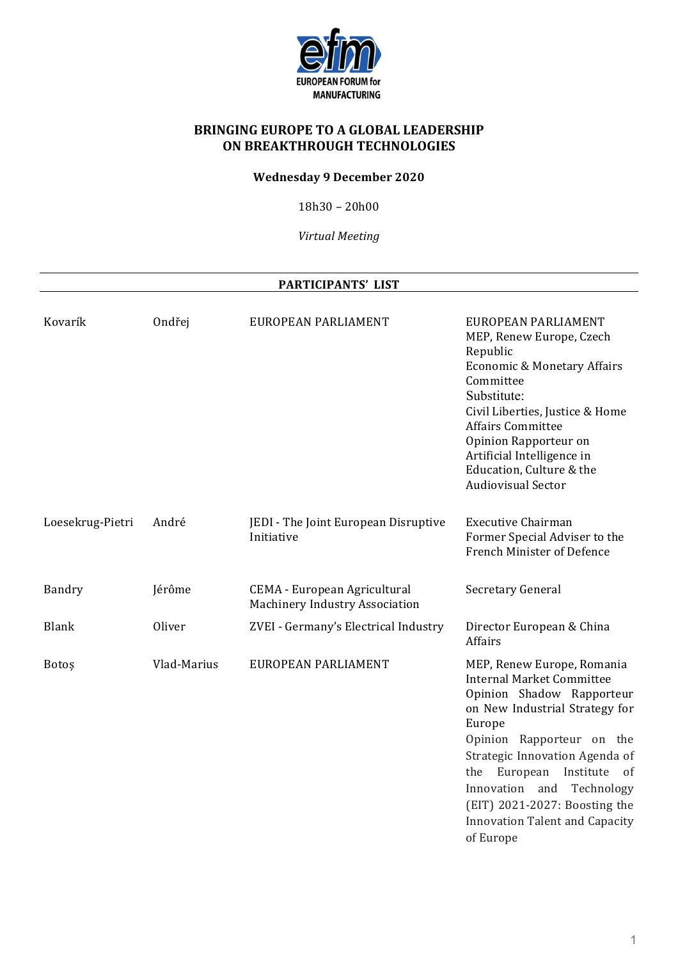

# **BRINGING EUROPE TO A GLOBAL LEADERSHIP ON BREAKTHROUGH TECHNOLOGIES**

#### **Wednesday 9 December 2020**

 $18h30 - 20h00$ 

*Virtual Meeting*

#### **PARTICIPANTS' LIST**

| Kovarík          | Ondřej      | EUROPEAN PARLIAMENT                                                   | EUROPEAN PARLIAMENT<br>MEP, Renew Europe, Czech<br>Republic<br>Economic & Monetary Affairs<br>Committee<br>Substitute:<br>Civil Liberties, Justice & Home<br><b>Affairs Committee</b><br>Opinion Rapporteur on<br>Artificial Intelligence in<br>Education, Culture & the<br><b>Audiovisual Sector</b>                                                           |
|------------------|-------------|-----------------------------------------------------------------------|-----------------------------------------------------------------------------------------------------------------------------------------------------------------------------------------------------------------------------------------------------------------------------------------------------------------------------------------------------------------|
| Loesekrug-Pietri | André       | JEDI - The Joint European Disruptive<br>Initiative                    | <b>Executive Chairman</b><br>Former Special Adviser to the<br>French Minister of Defence                                                                                                                                                                                                                                                                        |
| Bandry           | Jérôme      | CEMA - European Agricultural<br><b>Machinery Industry Association</b> | Secretary General                                                                                                                                                                                                                                                                                                                                               |
| <b>Blank</b>     | Oliver      | ZVEI - Germany's Electrical Industry                                  | Director European & China<br><b>Affairs</b>                                                                                                                                                                                                                                                                                                                     |
| Botos            | Vlad-Marius | EUROPEAN PARLIAMENT                                                   | MEP, Renew Europe, Romania<br><b>Internal Market Committee</b><br>Opinion Shadow Rapporteur<br>on New Industrial Strategy for<br>Europe<br>Opinion Rapporteur on the<br>Strategic Innovation Agenda of<br>European<br>Institute<br>the<br>0f<br>Innovation<br>and<br>Technology<br>(EIT) 2021-2027: Boosting the<br>Innovation Talent and Capacity<br>of Europe |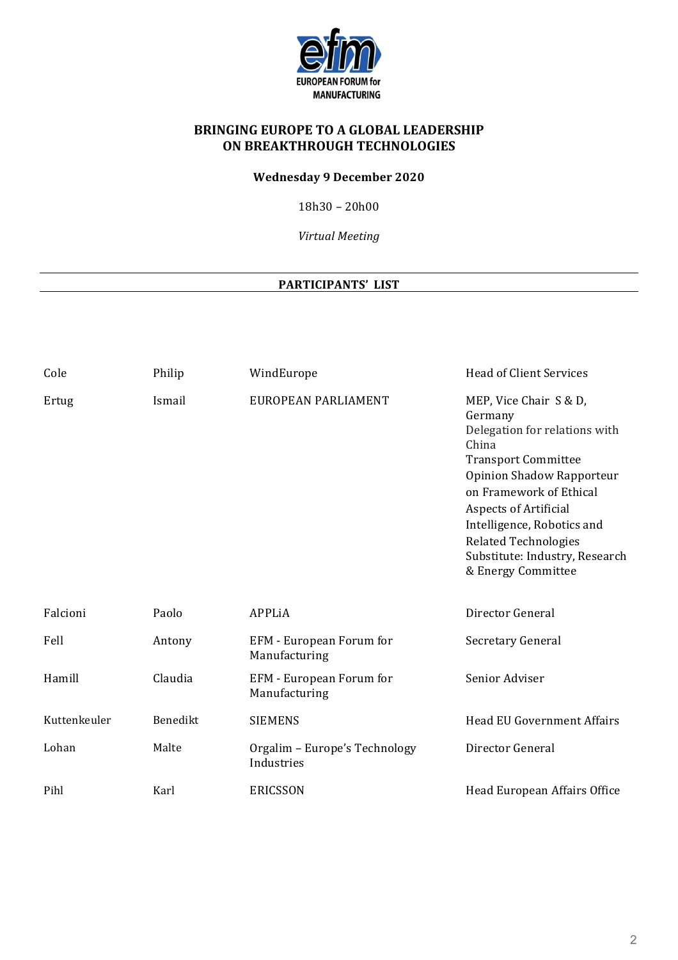

# **BRINGING EUROPE TO A GLOBAL LEADERSHIP ON BREAKTHROUGH TECHNOLOGIES**

### **Wednesday 9 December 2020**

 $18h30 - 20h00$ 

*Virtual Meeting*

### **PARTICIPANTS' LIST**

| Cole         | Philip   | WindEurope                                  | <b>Head of Client Services</b>                                                                                                                                                                                                                                                                                         |
|--------------|----------|---------------------------------------------|------------------------------------------------------------------------------------------------------------------------------------------------------------------------------------------------------------------------------------------------------------------------------------------------------------------------|
| Ertug        | Ismail   | EUROPEAN PARLIAMENT                         | MEP, Vice Chair S & D,<br>Germany<br>Delegation for relations with<br>China<br><b>Transport Committee</b><br>Opinion Shadow Rapporteur<br>on Framework of Ethical<br><b>Aspects of Artificial</b><br>Intelligence, Robotics and<br><b>Related Technologies</b><br>Substitute: Industry, Research<br>& Energy Committee |
| Falcioni     | Paolo    | APPLIA                                      | Director General                                                                                                                                                                                                                                                                                                       |
| Fell         | Antony   | EFM - European Forum for<br>Manufacturing   | Secretary General                                                                                                                                                                                                                                                                                                      |
| Hamill       | Claudia  | EFM - European Forum for<br>Manufacturing   | Senior Adviser                                                                                                                                                                                                                                                                                                         |
| Kuttenkeuler | Benedikt | <b>SIEMENS</b>                              | <b>Head EU Government Affairs</b>                                                                                                                                                                                                                                                                                      |
| Lohan        | Malte    | Orgalim - Europe's Technology<br>Industries | Director General                                                                                                                                                                                                                                                                                                       |
| Pihl         | Karl     | <b>ERICSSON</b>                             | Head European Affairs Office                                                                                                                                                                                                                                                                                           |